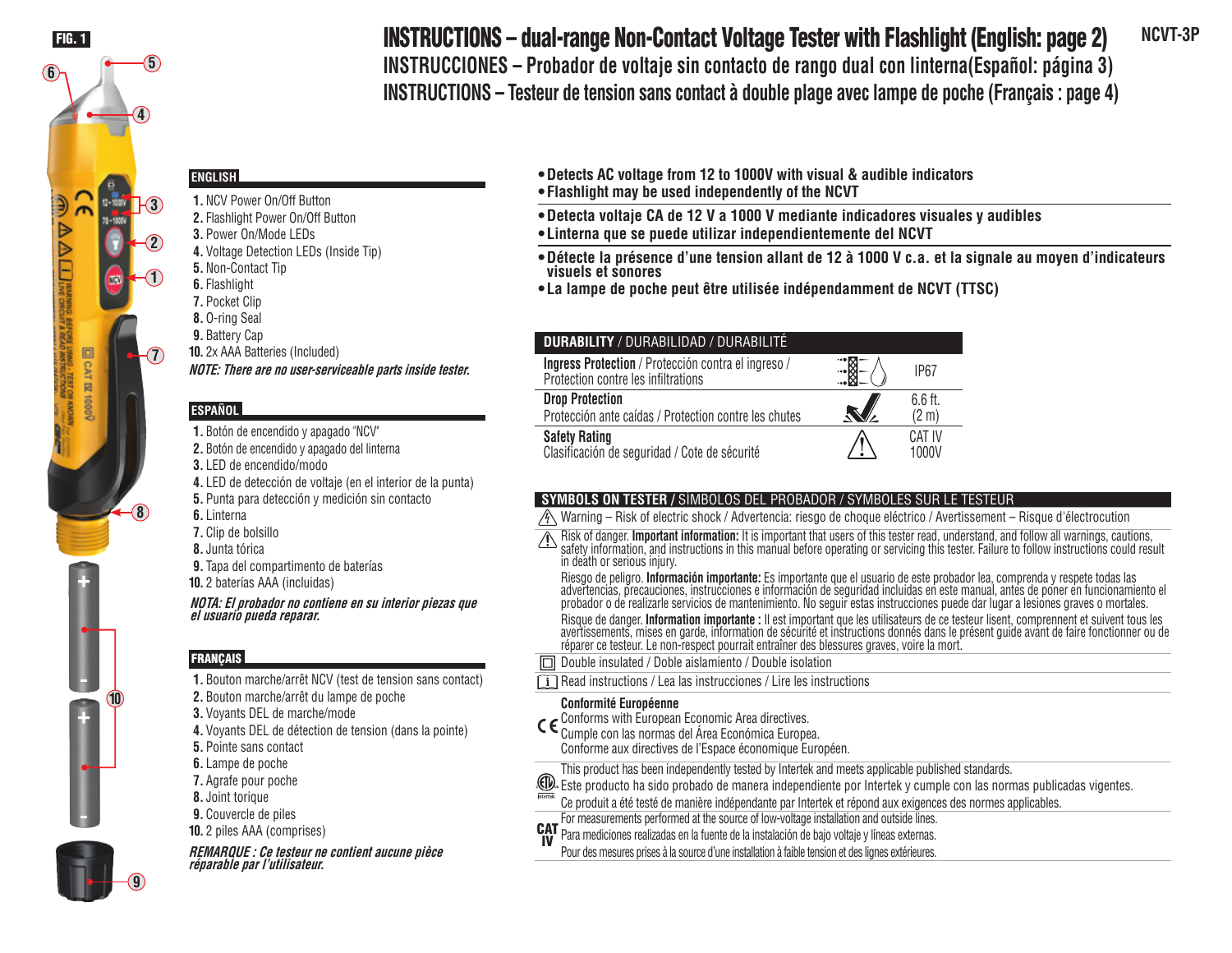

# **INSTRUCTIONS – dual-range Non-Contact Voltage Tester with Flashlight (English: page 2)** NCVT-3P **INSTRUCCIONES – Probador de voltaje sin contacto de rango dual con linterna(Español: página 3)**

**INSTRUCTIONS – Testeur de tension sans contact à double plage avec lampe de poche (Français : page 4)**

# **ENGLISH**

**1.** NCV Power On/Off Button **2.** Flashlight Power On/Off Button **3.** Power On/Mode LEDs **4.** Voltage Detection LEDs (Inside Tip) **5.** Non-Contact Tip **6.** Flashlight **7.** Pocket Clip **8.** O-ring Seal **9.** Battery Cap **10.** 2x AAA Batteries (Included) **NOTE: There are no user-serviceable parts inside tester.**

# **ESPAÑOL**

**1.** Botón de encendido y apagado "NCV" **2.** Botón de encendido y apagado del linterna **3.** LED de encendido/modo **4.** LED de detección de voltaje (en el interior de la punta) **5.** Punta para detección y medición sin contacto **6.** Linterna **7.** Clip de bolsillo **8.** Junta tórica **9.** Tapa del compartimento de baterías **10.** 2 baterías AAA (incluidas) **NOTA: El probador no contiene en su interior piezas que el usuario pueda reparar.**

# **FRANÇAIS**

- **1.** Bouton marche/arrêt NCV (test de tension sans contact)
- **2.** Bouton marche/arrêt du lampe de poche
- **3.** Voyants DEL de marche/mode
- **4.** Voyants DEL de détection de tension (dans la pointe)
- **5.** Pointe sans contact
- **6.** Lampe de poche
- **7.** Agrafe pour poche **8.** Joint torique
- **9.** Couvercle de piles
- **10.** 2 piles AAA (comprises)

**REMARQUE : Ce testeur ne contient aucune pièce réparable par l'utilisateur.**

- **Detects AC voltage from 12 to 1000V with visual & audible indicators**
- **Flashlight may be used independently of the NCVT**
- **Detecta voltaje CA de 12 V a 1000 V mediante indicadores visuales y audibles**
- **Linterna que se puede utilizar independientemente del NCVT**
- **Détecte la présence d'une tension allant de 12 à 1000 V c.a. et la signale au moyen d'indicateurs visuels et sonores**
- **La lampe de poche peut être utilisée indépendamment de NCVT (TTSC)**

| <b>DURABILITY / DURABILIDAD / DURABILITÉ</b>                                               |                |                   |
|--------------------------------------------------------------------------------------------|----------------|-------------------|
| Ingress Protection / Protección contra el ingreso /<br>Protection contre les infiltrations |                | <b>IP67</b>       |
| <b>Drop Protection</b>                                                                     |                | $6.6$ ft.         |
| Protección ante caídas / Protection contre les chutes                                      | $\blacksquare$ | (2 <sub>m</sub> ) |
| <b>Safety Rating</b><br>Clasificación de seguridad / Cote de sécurité                      |                | CAT IV<br>1000V   |

# **SYMBOLS ON TESTER /** SÍMBOLOS DEL PROBADOR / SYMBOLES SUR LE TESTEUR

- $\sqrt{A}$  Warning Risk of electric shock / Advertencia: riesgo de choque eléctrico / Avertissement Risque d'électrocution
- Risk of danger. **Important information:** It is important that users of this tester read, understand, and follow all warnings, cautions,<br>safety information, and instructions in this manual before operating or servicing this in death or serious injury.
	- Riesgo de peligro. **Información importante:** Es importante que el usuario de este probador lea, comprenda y respete todas las<br>advertencias, precauciones, instrucciones e información de seguridad incluidas en este manual, a probador o de realizarle servicios de mantenimiento. No seguir estas instrucciones puede dar lugar a lesiones graves o mortales.
	- Risque de danger. Information importante : Il est important que les utilisateurs de ce testeur lisent, comprennent et suivent tous les<br>avertissements, mises en garde, information de sécurité et instructions donnés dans le réparer ce testeur. Le non-respect pourrait entraîner des blessures graves, voire la mort.
- Double insulated / Doble aislamiento / Double isolation
- Read instructions / Lea las instrucciones / Lire les instructions

# **Conformité Européenne**

- $C \epsilon$  Conforms with European Economic Area directives.
	- Cumple con las normas del Área Económica Europea. Conforme aux directives de l'Espace économique Européen.
- This product has been independently tested by Intertek and meets applicable published standards.
- Este producto ha sido probado de manera independiente por Intertek y cumple con las normas publicadas vigentes.
- Ce produit a été testé de manière indépendante par Intertek et répond aux exigences des normes applicables.
- For measurements performed at the source of low-voltage installation and outside lines.
- CAT IV Para mediciones realizadas en la fuente de la instalación de bajo voltaje y líneas externas.
- Pour des mesures prises à la source d'une installation à faible tension et des lignes extérieures.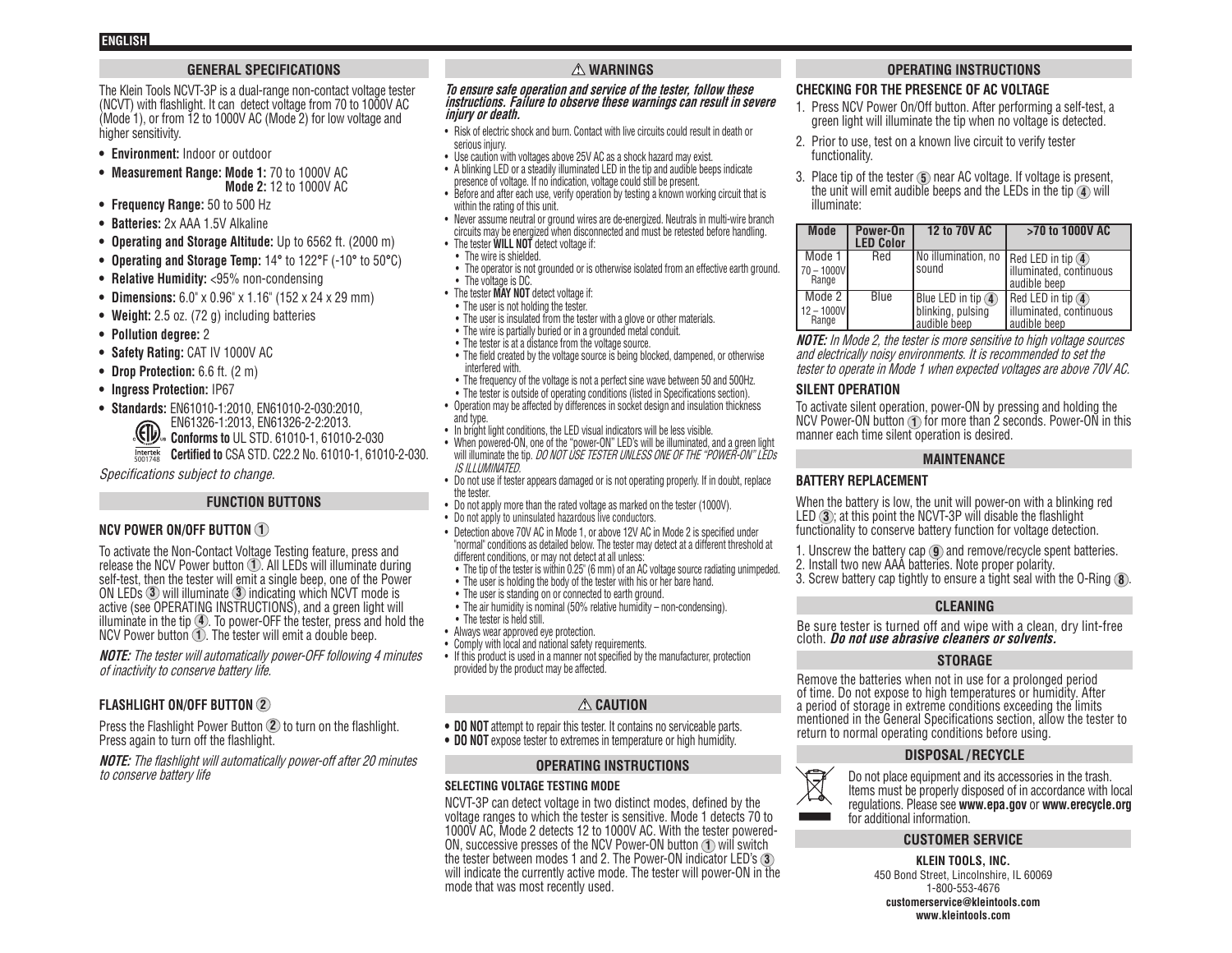# **GENERAL SPECIFICATIONS**

The Klein Tools NCVT-3P is a dual-range non-contact voltage tester (NCVT) with flashlight. It can detect voltage from 70 to 1000V AC  $(Mode'1)$ , or from 12 to 1000V AC (Mode 2) for low voltage and higher sensitivity.

- **• Environment:** Indoor or outdoor
- **• Measurement Range: Mode 1:** 70 to 1000V AC **Mode 2:** 12 to 1000V AC
- **• Frequency Range:** 50 to 500 Hz
- **• Batteries:** 2x AAA 1.5V Alkaline
- **• Operating and Storage Altitude:** Up to 6562 ft. (2000 m)
- **• Operating and Storage Temp:** 14**°** to 122**°**F (-10**°** to 50**°**C)
- **• Relative Humidity:** <95% non-condensing
- **• Dimensions:** 6.0" x 0.96" x 1.16" (152 x 24 x 29 mm)
- **• Weight:** 2.5 oz. (72 g) including batteries
- **• Pollution degree:** 2
- **• Safety Rating:** CAT IV 1000V AC
- **• Drop Protection:** 6.6 ft. (2 m)
- **• Ingress Protection:** IP67
- **• Standards:** EN61010-1:2010, EN61010-2-030:2010,
	- EN61326-1:2013, EN61326-2-2:2013.
	- **CON** Conforms to UL STD. 61010-1, 61010-2-030
	- **Certified to** CSA STD. C22.2 No. 61010-1, 61010-2-030. 5001748

Specifications subject to change.

# **FUNCTION BUTTONS**

# **NCV POWER ON/OFF BUTTON 1**

To activate the Non-Contact Voltage Testing feature, press and release the NCV Power button **1** . All LEDs will illuminate during self-test, then the tester will emit a single beep, one of the Power ON LEDs **3** will illuminate **3** indicating which NCVT mode is active (see OPERATING INSTRUCTIONS), and a green light will illuminate in the tip **4** . To power-OFF the tester, press and hold the NCV Power button **1** . The tester will emit a double beep.

**NOTE:** The tester will automatically power-OFF following 4 minutes of inactivity to conserve battery life.

# **FLASHLIGHT ON/OFF BUTTON 2**

Press the Flashlight Power Button **2** to turn on the flashlight. Press again to turn off the flashlight.

**NOTE:** The flashlight will automatically power-off after 20 minutes to conserve battery life

# **WARNINGS**

#### **To ensure safe operation and service of the tester, follow these instructions. Failure to observe these warnings can result in severe injury or death.**

- Risk of electric shock and burn. Contact with live circuits could result in death or serious injury.
- Use caution with voltages above 25V AC as a shock hazard may exist.
- A blinking LED or a steadily illuminated LED in the tip and audible beeps indicate presence of voltage. If no indication, voltage could still be present.
- Before and after each use, verify operation by testing a known working circuit that is within the rating of this unit.
- Never assume neutral or ground wires are de-energized. Neutrals in multi-wire branch circuits may be energized when disconnected and must be retested before handling.
- The tester **WILL NOT** detect voltage if:
	- The wire is shielded.
	- The operator is not grounded or is otherwise isolated from an effective earth ground. • The voltage is DC.
- The tester **MAY NOT** detect voltage if:
- The user is not holding the tester.
- The user is insulated from the tester with a glove or other materials.
- The wire is partially buried or in a grounded metal conduit.
- The tester is at a distance from the voltage source.
- The field created by the voltage source is being blocked, dampened, or otherwise interfered with.
- The frequency of the voltage is not a perfect sine wave between 50 and 500Hz.
- The tester is outside of operating conditions (listed in Specifications section).
- Operation may be affected by differences in socket design and insulation thickness and type.
- In bright light conditions, the LED visual indicators will be less visible.
- When powered-ON, one of the "power-ON" LED's will be illuminated, and a green light will illuminate the tip. DO NOT USE TESTER UNLESS ONE OF THE "POWER-ON" LEDs IS ILLUMINATED.
- Do not use if tester appears damaged or is not operating properly. If in doubt, replace the tester.
- Do not apply more than the rated voltage as marked on the tester (1000V).
- Do not apply to uninsulated hazardous live conductors.
- Detection above 70V AC in Mode 1, or above 12V AC in Mode 2 is specified under "normal" conditions as detailed below. The tester may detect at a different threshold at different conditions, or may not detect at all unless:
- The tip of the tester is within 0.25" (6 mm) of an AC voltage source radiating unimpeded
- The user is holding the body of the tester with his or her bare hand.
- The user is standing on or connected to earth ground.
- The air humidity is nominal (50% relative humidity non-condensing).
- The tester is held still.
- Always wear approved eye protection.
- Comply with local and national safety requirements.
- If this product is used in a manner not specified by the manufacturer, protection provided by the product may be affected.

# **CAUTION**

- **• DO NOT** attempt to repair this tester. It contains no serviceable parts.
- **• DO NOT** expose tester to extremes in temperature or high humidity.

# **OPERATING INSTRUCTIONS**

# **SELECTING VOLTAGE TESTING MODE**

NCVT-3P can detect voltage in two distinct modes, defined by the voltage ranges to which the tester is sensitive. Mode 1 detects 70 to 1000V AC, Mode 2 detects 12 to 1000V AC. With the tester powered-ON, successive presses of the NCV Power-ON button **1** will switch the tester between modes 1 and 2. The Power-ON indicator LED's **3** will indicate the currently active mode. The tester will power-ON in the mode that was most recently used.

# **OPERATING INSTRUCTIONS**

# **CHECKING FOR THE PRESENCE OF AC VOLTAGE**

- 1. Press NCV Power On/Off button. After performing a self-test, a green light will illuminate the tip when no voltage is detected.
- 2. Prior to use, test on a known live circuit to verify tester functionality.
- 3. Place tip of the tester **5** near AC voltage. If voltage is present, the unit will emit audible beeps and the LEDs in the tip **4** will illuminate:

| <b>Mode</b>                      | Power-On<br><b>LED Color</b> | 12 to 70V AC                                                     | >70 to 1000V AC                                                               |
|----------------------------------|------------------------------|------------------------------------------------------------------|-------------------------------------------------------------------------------|
| Mode 1<br>$170 - 1000V$<br>Range | Red                          | I No illumination, no<br>sound                                   | Red LED in tip $(4)$<br>illuminated, continuous<br>audible beep               |
| Mode 2<br>$12 - 1000V$<br>Range  | Blue                         | Blue LED in tip $\left($ 4)<br>blinking, pulsing<br>audible beep | Red LED in tip $\left($ <b>4</b> )<br>illuminated, continuous<br>audible beep |

**NOTE:** In Mode 2, the tester is more sensitive to high voltage sources and electrically noisy environments. It is recommended to set the tester to operate in Mode 1 when expected voltages are above 70V AC.

# **SILENT OPERATION**

To activate silent operation, power-ON by pressing and holding the NCV Power-ON button **1** for more than 2 seconds. Power-ON in this manner each time silent operation is desired.

# **MAINTENANCE**

# **BATTERY REPLACEMENT**

When the battery is low, the unit will power-on with a blinking red LED **3** ; at this point the NCVT-3P will disable the flashlight functionality to conserve battery function for voltage detection.

- 1. Unscrew the battery cap **9** and remove/recycle spent batteries. 2. Install two new AAA batteries. Note proper polarity.
- 3. Screw battery cap tightly to ensure a tight seal with the O-Ring **8** .

# **CLEANING**

Be sure tester is turned off and wipe with a clean, dry lint-free cloth. **Do not use abrasive cleaners or solvents.**

# **STORAGE**

Remove the batteries when not in use for a prolonged period of time. Do not expose to high temperatures or humidity. After a period of storage in extreme conditions exceeding the limits mentioned in the General Specifications section, allow the tester to return to normal operating conditions before using.

# **DISPOSAL / RECYCLE**



Do not place equipment and its accessories in the trash. Items must be properly disposed of in accordance with local regulations. Please see **www.epa.gov** or **www.erecycle.org** for additional information.

# **CUSTOMER SERVICE**

**KLEIN TOOLS, INC.** 450 Bond Street, Lincolnshire, IL 60069 1-800-553-4676 **customerservice@kleintools.com www.kleintools.com**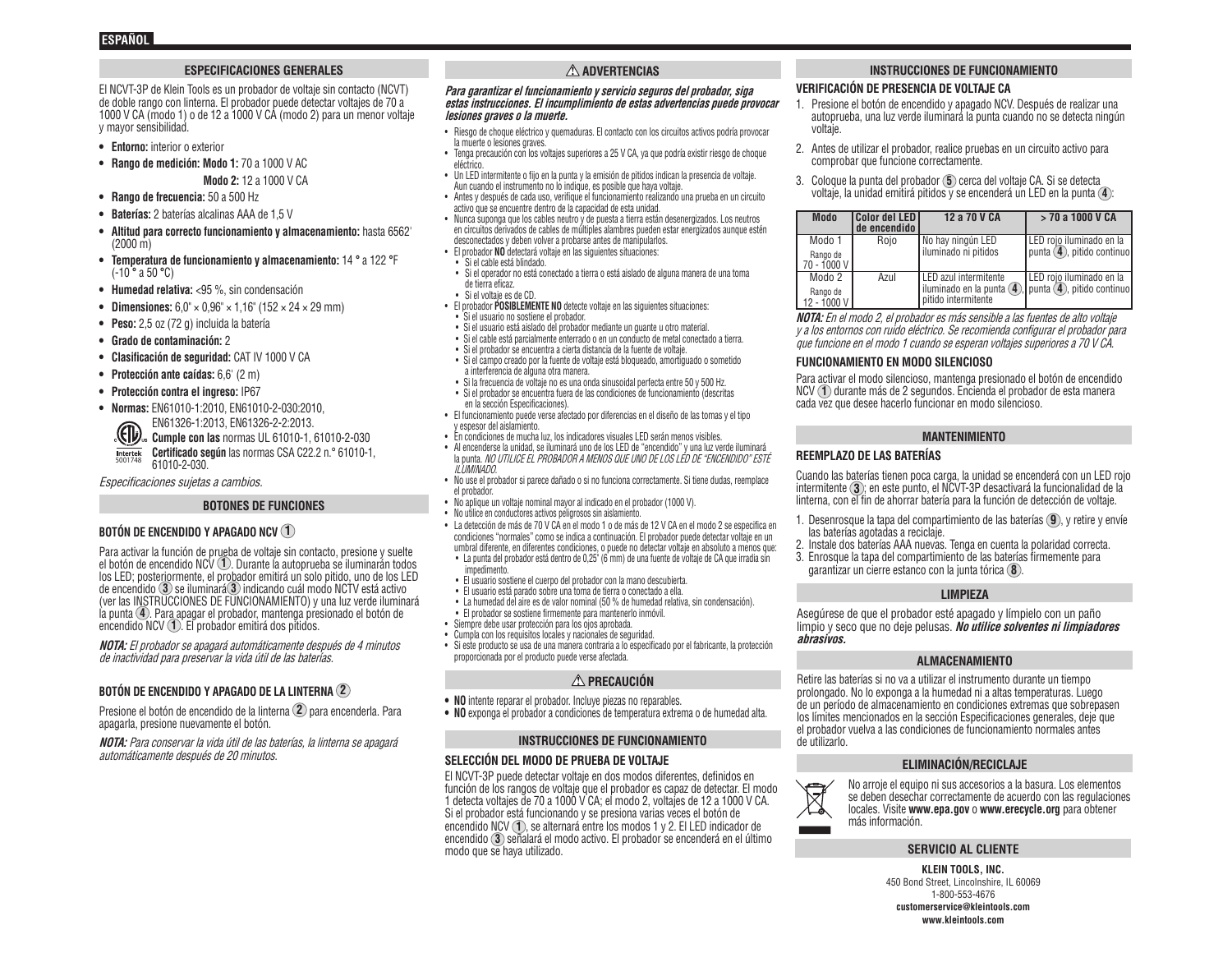#### **ESPECIFICACIONES GENERALES**

El NCVT-3P de Klein Tools es un probador de voltaje sin contacto (NCVT) de doble rango con linterna. El probador puede detectar voltajes de 70 a 1000 V CA (modo 1) o de 12 a 1000 V CA (modo 2) para un menor voltaje y mayor sensibilidad.

- **• Entorno:** interior o exterior
- **• Rango de medición: Modo 1:** 70 a 1000 V AC
	- **Modo 2:** 12 a 1000 V CA
- **• Rango de frecuencia:** 50 a 500 Hz
- **• Baterías:** 2 baterías alcalinas AAA de 1,5 V
- **• Altitud para correcto funcionamiento y almacenamiento:** hasta 6562' (2000 m)
- **• Temperatura de funcionamiento y almacenamiento:** 14 **°** a 122 **°**F (-10 **°** a 50 **°**C)
- **• Humedad relativa:** <95 %, sin condensación
- **• Dimensiones:** 6,0" × 0,96" × 1,16" (152 × 24 × 29 mm)
- **• Peso:** 2,5 oz (72 g) incluida la batería
- **• Grado de contaminación:** 2
- **• Clasificación de seguridad:** CAT IV 1000 V CA
- **• Protección ante caídas:** 6,6' (2 m)
- **• Protección contra el ingreso:** IP67
- **• Normas:** EN61010-1:2010, EN61010-2-030:2010,
	- EN61326-1:2013, EN61326-2-2:2013.

**ED Cumple con las** normas UL 61010-1, 61010-2-030 **Certificado según** las normas CSA C22.2 n.° 61010-1, Intertek<br>5001748

61010-2-030.

Especificaciones sujetas a cambios.

#### **BOTONES DE FUNCIONES**

# **BOTÓN DE ENCENDIDO Y APAGADO NCV 1**

Para activar la función de prueba de voltaje sin contacto, presione y suelte el botón de encendido NCV **1** . Durante la autoprueba se iluminarán todos los LED; posteriormente, el probador emitirá un solo pitido, uno de los LED de encendido **3** se iluminará **3** indicando cuál modo NCTV está activo (ver las INSTRUCCIONES DE FUNCIONAMIENTO) y una luz verde iluminará la punta **4**. Para apagar el probador, mantenga presionado el botón de encendido NCV **1** . El probador emitirá dos pitidos.

**NOTA:** El probador se apagará automáticamente después de 4 minutos de inactividad para preservar la vida útil de las baterías.

# **BOTÓN DE ENCENDIDO Y APAGADO DE LA LINTERNA 2**

Presione el botón de encendido de la linterna **2** para encenderla. Para apagarla, presione nuevamente el botón.

**NOTA:** Para conservar la vida útil de las baterías, la linterna se apagará automáticamente después de 20 minutos.

# **ADVERTENCIAS**

#### **Para garantizar el funcionamiento y servicio seguros del probador, siga estas instrucciones. El incumplimiento de estas advertencias puede provocar lesiones graves o la muerte.**

- Riesgo de choque eléctrico y quemaduras. El contacto con los circuitos activos podría provocar la muerte o lesiones graves.
- Tenga precaución con los voltajes superiores a 25 V CA, ya que podría existir riesgo de choque eléctrico.
- Un LED intermitente o fijo en la punta y la emisión de pitidos indican la presencia de voltaje. Aun cuando el instrumento no lo indique, es posible que haya voltaje.
- Antes y después de cada uso, verifique el funcionamiento realizando una prueba en un circuito activo que se encuentre dentro de la capacidad de esta unidad.
- Nunca suponga que los cables neutro y de puesta a tierra están desenergizados. Los neutros en circuitos derivados de cables de múltiples alambres pueden estar energizados aunque estén desconectados y deben volver a probarse antes de manipularlos.
- El probador **NO** detectará voltaje en las siguientes situaciones:
- Si el cable está blindado.
- Si el operador no está conectado a tierra o está aislado de alguna manera de una toma de tierra eficaz.
- Si el voltaje es de CD.
- El probador **POSIBLEMENTE NO** detecte voltaje en las siguientes situaciones: • Si el usuario no sostiene el probador.
- Si el usuario está aislado del probador mediante un guante u otro material.
- Si el cable está parcialmente enterrado o en un conducto de metal conectado a tierra.
- Si el probador se encuentra a cierta distancia de la fuente de voltaje.
- Si el campo creado por la fuente de voltaje está bloqueado, amortiguado o sometido a interferencia de alguna otra manera.
- Si la frecuencia de voltaje no es una onda sinusoidal perfecta entre 50 y 500 Hz. • Si el probador se encuentra fuera de las condiciones de funcionamiento (descritas
- en la sección Especificaciones). • El funcionamiento puede verse afectado por diferencias en el diseño de las tomas y el tipo y espesor del aislamiento.
- En condiciones de mucha luz, los indicadores visuales LED serán menos visibles.
- Al encenderse la unidad, se iluminará uno de los LED de "encendido" y una luz verde iluminará la punta. NO UTILICE EL PROBADOR A MENOS QUE UNO DE LOS LED DE "ENCENDIDO" ESTÉ ILUMINADO.
- No use el probador si parece dañado o si no funciona correctamente. Si tiene dudas, reemplace el probador.
- No aplique un voltaje nominal mayor al indicado en el probador (1000 V).
- No utilice en conductores activos peligrosos sin aislamiento.
- La detección de más de 70 V CA en el modo 1 o de más de 12 V CA en el modo 2 se especifica en condiciones "normales" como se indica a continuación. El probador puede detectar voltaje en un umbral diferente, en diferentes condiciones, o puede no detectar voltaje en absoluto a menos que:
- La punta del probador está dentro de 0,25" (6 mm) de una fuente de voltaje de CA que irradia sin impedimento.
- El usuario sostiene el cuerpo del probador con la mano descubierta.
- El usuario está parado sobre una toma de tierra o conectado a ella.
- La humedad del aire es de valor nominal (50 % de humedad relativa, sin condensación).
- El probador se sostiene firmemente para mantenerlo inmóvil.
- Siempre debe usar protección para los ojos aprobada.
- Cumpla con los requisitos locales y nacionales de seguridad.
- Si este producto se usa de una manera contraria a lo especificado por el fabricante, la protección proporcionada por el producto puede verse afectada.

# **PRECAUCIÓN**

- **• NO** intente reparar el probador. Incluye piezas no reparables.
- **• NO** exponga el probador a condiciones de temperatura extrema o de humedad alta.

#### **INSTRUCCIONES DE FUNCIONAMIENTO**

#### **SELECCIÓN DEL MODO DE PRUEBA DE VOLTAJE**

El NCVT-3P puede detectar voltaje en dos modos diferentes, definidos en función de los rangos de voltaje que el probador es capaz de detectar. El modo 1 detecta voltajes de 70 a 1000 V CA; el modo 2, voltajes de 12 a 1000 V CA. Si el probador está funcionando y se presiona varias veces el botón de encendido NCV **1**, se alternará entre los modos 1 y 2. El LED indicador de encendido **3** señalará el modo activo. El probador se encenderá en el último modo que se haya utilizado.

#### **INSTRUCCIONES DE FUNCIONAMIENTO**

#### **VERIFICACIÓN DE PRESENCIA DE VOLTAJE CA**

- 1. Presione el botón de encendido y apagado NCV. Después de realizar una autoprueba, una luz verde iluminará la punta cuando no se detecta ningún voltaje.
- 2. Antes de utilizar el probador, realice pruebas en un circuito activo para comprobar que funcione correctamente.
- 3. Coloque la punta del probador **5** cerca del voltaje CA. Si se detecta voltaje, la unidad emitirá pitidos y se encenderá un LED en la punta **4** :

| <b>Modo</b>               | l Color del LED I<br>de encendido | 12 a 70 V CA          | > 70 a 1000 V CA                                            |
|---------------------------|-----------------------------------|-----------------------|-------------------------------------------------------------|
| Modo 1                    | Roio                              | No hay ningún LED     | LED rojo iluminado en la                                    |
| Rango de<br>70 - 1000 V l |                                   | iluminado ni pitidos  | punta (4), pitido continuo                                  |
| Modo 2                    | Azul                              | LED azul intermitente | LED rojo iluminado en la                                    |
| Rango de<br>12 - 1000 V l |                                   | pitido intermitente   | iluminado en la punta $(4)$ , punta $(4)$ , pitido continuo |

**NOTA:** En el modo 2, el probador es más sensible a las fuentes de alto voltaje y a los entornos con ruido eléctrico. Se recomienda configurar el probador para que funcione en el modo 1 cuando se esperan voltajes superiores a 70 V CA.

#### **FUNCIONAMIENTO EN MODO SILENCIOSO**

Para activar el modo silencioso, mantenga presionado el botón de encendido NCV **1** durante más de 2 segundos. Encienda el probador de esta manera cada vez que desee hacerlo funcionar en modo silencioso.

#### **MANTENIMIENTO**

#### **REEMPLAZO DE LAS BATERÍAS**

Cuando las baterías tienen poca carga, la unidad se encenderá con un LED rojo intermitente **3** ; en este punto, el NCVT-3P desactivará la funcionalidad de la linterna, con el fin de ahorrar batería para la función de detección de voltaje.

- 1. Desenrosque la tapa del compartimiento de las baterías **9** , y retire y envíe las baterías agotadas a reciclaje.
- 2. Instale dos baterías AAA nuevas. Tenga en cuenta la polaridad correcta.
- 3. Enrosque la tapa del compartimiento de las baterías firmemente para garantizar un cierre estanco con la junta tórica **8** .

#### **LIMPIEZA**

Asegúrese de que el probador esté apagado y límpielo con un paño limpio y seco que no deje pelusas. **No utilice solventes ni limpiadores abrasivos.**

#### **ALMACENAMIENTO**

Retire las baterías si no va a utilizar el instrumento durante un tiempo prolongado. No lo exponga a la humedad ni a altas temperaturas. Luego de un período de almacenamiento en condiciones extremas que sobrepasen los límites mencionados en la sección Especificaciones generales, deje que el probador vuelva a las condiciones de funcionamiento normales antes de utilizarlo.

#### **ELIMINACIÓN/RECICLAJE**



No arroje el equipo ni sus accesorios a la basura. Los elementos se deben desechar correctamente de acuerdo con las regulaciones locales. Visite **www.epa.gov** o **www.erecycle.org** para obtener más información.

#### **SERVICIO AL CLIENTE**

**KLEIN TOOLS, INC.** 450 Bond Street, Lincolnshire, IL 60069 1-800-553-4676 **customerservice@kleintools.com www.kleintools.com**